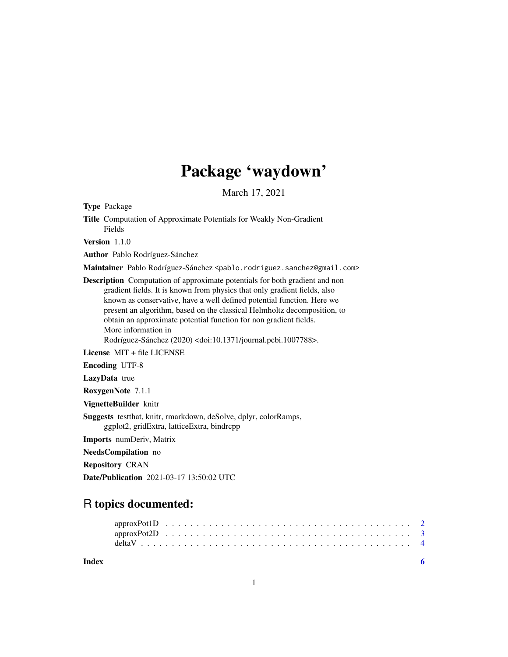## Package 'waydown'

March 17, 2021

<span id="page-0-0"></span>Type Package

Title Computation of Approximate Potentials for Weakly Non-Gradient Fields

Version 1.1.0

Author Pablo Rodríguez-Sánchez

Maintainer Pablo Rodríguez-Sánchez <pablo.rodriguez.sanchez@gmail.com>

Description Computation of approximate potentials for both gradient and non gradient fields. It is known from physics that only gradient fields, also known as conservative, have a well defined potential function. Here we present an algorithm, based on the classical Helmholtz decomposition, to obtain an approximate potential function for non gradient fields. More information in

Rodríguez-Sánchez (2020) <doi:10.1371/journal.pcbi.1007788>.

License MIT + file LICENSE

Encoding UTF-8

LazyData true

RoxygenNote 7.1.1

VignetteBuilder knitr

Suggests testthat, knitr, rmarkdown, deSolve, dplyr, colorRamps, ggplot2, gridExtra, latticeExtra, bindrcpp

Imports numDeriv, Matrix

NeedsCompilation no

Repository CRAN

Date/Publication 2021-03-17 13:50:02 UTC

### R topics documented:

**Index** [6](#page-5-0) **6**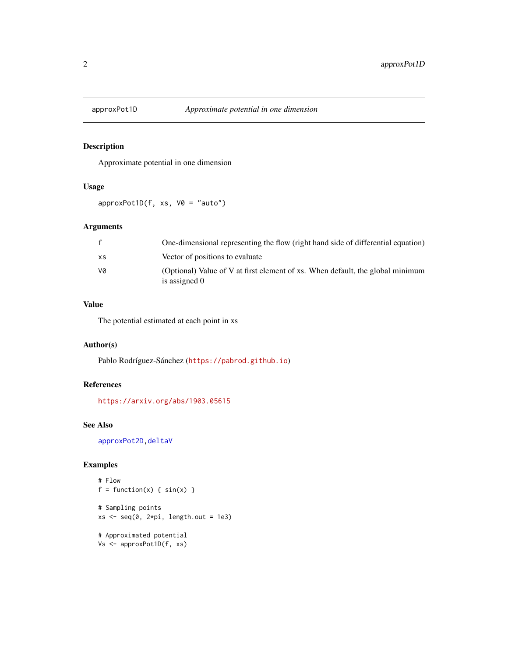<span id="page-1-1"></span><span id="page-1-0"></span>

#### Description

Approximate potential in one dimension

#### Usage

 $approxPot1D(f, xs, V0 = "auto")$ 

#### Arguments

|     | One-dimensional representing the flow (right hand side of differential equation)                |
|-----|-------------------------------------------------------------------------------------------------|
| XS. | Vector of positions to evaluate                                                                 |
| va  | (Optional) Value of V at first element of xs. When default, the global minimum<br>is assigned 0 |

#### Value

The potential estimated at each point in xs

#### Author(s)

Pablo Rodríguez-Sánchez (<https://pabrod.github.io>)

#### References

<https://arxiv.org/abs/1903.05615>

#### See Also

[approxPot2D](#page-2-1)[,deltaV](#page-3-1)

#### Examples

```
# Flow
f = function(x) \{ sin(x) \}# Sampling points
xs < -seq(0, 2*pi, length.out = 1e3)# Approximated potential
Vs <- approxPot1D(f, xs)
```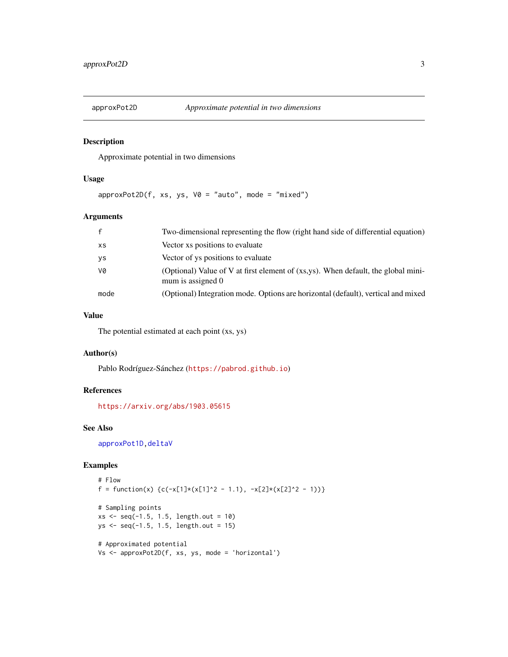<span id="page-2-1"></span><span id="page-2-0"></span>

#### Description

Approximate potential in two dimensions

#### Usage

 $approxPot2D(f, xs, ys, V0 = "auto", mode = "mixed")$ 

#### Arguments

| $\mathbf{f}$ | Two-dimensional representing the flow (right hand side of differential equation)                       |
|--------------|--------------------------------------------------------------------------------------------------------|
| XS           | Vector xs positions to evaluate                                                                        |
| ys           | Vector of ys positions to evaluate                                                                     |
| V0           | (Optional) Value of V at first element of (xs,ys). When default, the global mini-<br>mum is assigned 0 |
| mode         | (Optional) Integration mode. Options are horizontal (default), vertical and mixed                      |

#### Value

The potential estimated at each point (xs, ys)

#### Author(s)

Pablo Rodríguez-Sánchez (<https://pabrod.github.io>)

#### References

<https://arxiv.org/abs/1903.05615>

#### See Also

[approxPot1D](#page-1-1), deltaV

#### Examples

```
# Flow
f = function(x) {c(-x[1]*(x[1]^2 - 1.1), -x[2]*(x[2]^2 - 1))}
# Sampling points
xs < -seq(-1.5, 1.5, length.out = 10)ys <- seq(-1.5, 1.5, length.out = 15)
# Approximated potential
Vs <- approxPot2D(f, xs, ys, mode = 'horizontal')
```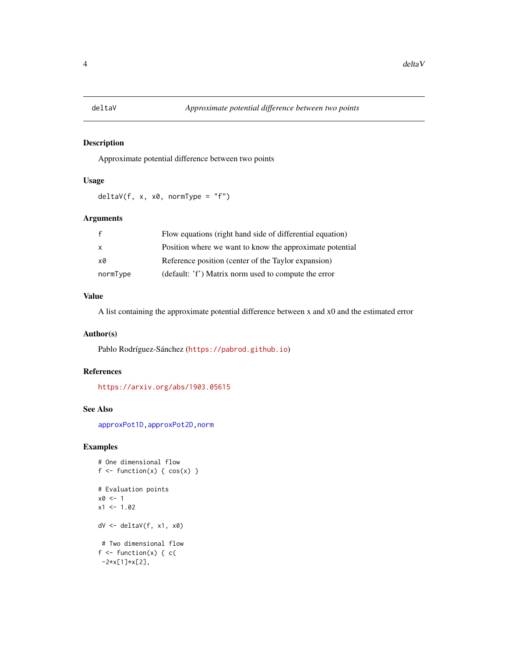<span id="page-3-1"></span><span id="page-3-0"></span>

#### Description

Approximate potential difference between two points

#### Usage

 $deltaV(f, x, x0, normType = "f")$ 

#### Arguments

|              | Flow equations (right hand side of differential equation) |
|--------------|-----------------------------------------------------------|
| $\mathsf{x}$ | Position where we want to know the approximate potential  |
| xØ           | Reference position (center of the Taylor expansion)       |
| normType     | (default: 'f') Matrix norm used to compute the error      |

#### Value

A list containing the approximate potential difference between x and x0 and the estimated error

#### Author(s)

Pablo Rodríguez-Sánchez (<https://pabrod.github.io>)

#### References

<https://arxiv.org/abs/1903.05615>

#### See Also

[approxPot1D](#page-1-1)[,approxPot2D,](#page-2-1)[norm](#page-0-0)

#### Examples

```
# One dimensional flow
f \leftarrow function(x) \{ cos(x) \}# Evaluation points
x0 < -1x1 < -1.02dV <- deltaV(f, x1, x0)
# Two dimensional flow
f \leftarrow function(x) \{ c(-2*x[1]*x[2],
```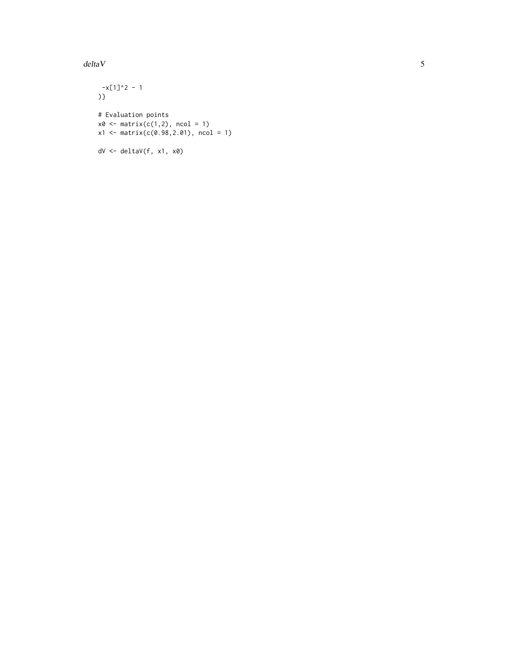#### $deltaV$  5

 $-x[1]^2$  - 1 )} # Evaluation points  $x0 \leq -$  matrix(c(1,2), ncol = 1) x1 <- matrix(c(0.98,2.01), ncol = 1) dV <- deltaV(f, x1, x0)